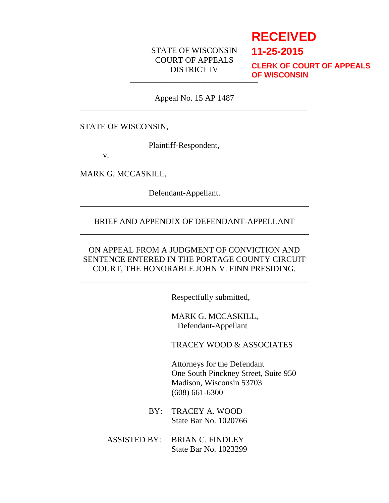## STATE OF WISCONSIN COURT OF APPEALS DISTRICT IV

# **RECEIVED**

**11-25-2015**

\_\_\_\_\_\_\_\_\_\_\_\_\_\_\_\_\_\_\_\_\_\_\_\_\_\_\_\_\_\_\_ **CLERK OF COURT OF APPEALS OF WISCONSIN**

Appeal No. 15 AP 1487 \_\_\_\_\_\_\_\_\_\_\_\_\_\_\_\_\_\_\_\_\_\_\_\_\_\_\_\_\_\_\_\_\_\_\_\_\_\_\_\_\_\_\_\_\_\_\_\_\_\_\_\_\_\_\_

#### STATE OF WISCONSIN,

Plaintiff-Respondent,

v.

MARK G. MCCASKILL,

Defendant-Appellant.

#### BRIEF AND APPENDIX OF DEFENDANT-APPELLANT

## ON APPEAL FROM A JUDGMENT OF CONVICTION AND SENTENCE ENTERED IN THE PORTAGE COUNTY CIRCUIT COURT, THE HONORABLE JOHN V. FINN PRESIDING.

Respectfully submitted,

MARK G. MCCASKILL, Defendant-Appellant

TRACEY WOOD & ASSOCIATES

Attorneys for the Defendant One South Pinckney Street, Suite 950 Madison, Wisconsin 53703 (608) 661-6300

- BY: TRACEY A. WOOD State Bar No. 1020766
- ASSISTED BY: BRIAN C. FINDLEY State Bar No. 1023299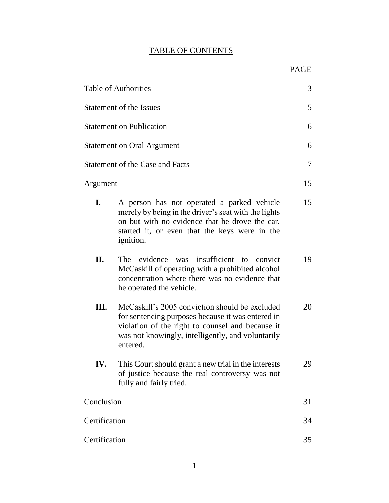# TABLE OF CONTENTS

|                 | <b>Table of Authorities</b>                                                                                                                                                                                               | 3      |
|-----------------|---------------------------------------------------------------------------------------------------------------------------------------------------------------------------------------------------------------------------|--------|
|                 | Statement of the Issues                                                                                                                                                                                                   | 5      |
|                 | <b>Statement on Publication</b>                                                                                                                                                                                           | 6      |
|                 | <b>Statement on Oral Argument</b>                                                                                                                                                                                         | 6      |
|                 | <b>Statement of the Case and Facts</b>                                                                                                                                                                                    | $\tau$ |
| <u>Argument</u> |                                                                                                                                                                                                                           | 15     |
| I.              | A person has not operated a parked vehicle<br>merely by being in the driver's seat with the lights<br>on but with no evidence that he drove the car,<br>started it, or even that the keys were in the<br><i>ignition.</i> | 15     |
| II.             | was insufficient to convict<br>The evidence<br>McCaskill of operating with a prohibited alcohol<br>concentration where there was no evidence that<br>he operated the vehicle.                                             | 19     |
| Ш.              | McCaskill's 2005 conviction should be excluded<br>for sentencing purposes because it was entered in<br>violation of the right to counsel and because it<br>was not knowingly, intelligently, and voluntarily<br>entered.  | 20     |
| IV.             | This Court should grant a new trial in the interests<br>of justice because the real controversy was not<br>fully and fairly tried.                                                                                        | 29     |
| Conclusion      |                                                                                                                                                                                                                           | 31     |
| Certification   |                                                                                                                                                                                                                           | 34     |
| Certification   |                                                                                                                                                                                                                           | 35     |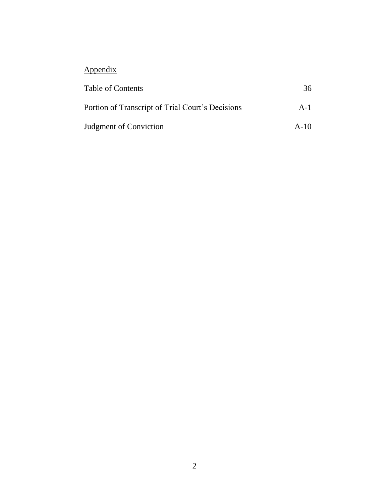# Appendix

| Table of Contents                                | 36     |
|--------------------------------------------------|--------|
| Portion of Transcript of Trial Court's Decisions | $A-1$  |
| <b>Judgment of Conviction</b>                    | $A-10$ |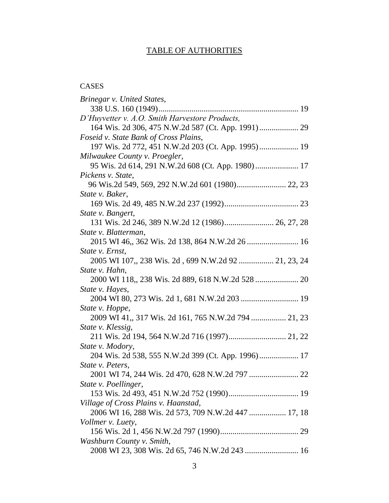# TABLE OF AUTHORITIES

## CASES

| Brinegar v. United States,                          |
|-----------------------------------------------------|
|                                                     |
| D'Huyvetter v. A.O. Smith Harvestore Products,      |
|                                                     |
| Foseid v. State Bank of Cross Plains,               |
| 197 Wis. 2d 772, 451 N.W.2d 203 (Ct. App. 1995) 19  |
| Milwaukee County v. Proegler,                       |
| 95 Wis. 2d 614, 291 N.W.2d 608 (Ct. App. 1980) 17   |
| Pickens v. State,                                   |
|                                                     |
| State v. Baker,                                     |
|                                                     |
| State v. Bangert,                                   |
| 131 Wis. 2d 246, 389 N.W.2d 12 (1986) 26, 27, 28    |
| State v. Blatterman,                                |
|                                                     |
| State v. Ernst,                                     |
| 2005 WI 107, 238 Wis. 2d, 699 N.W.2d 92  21, 23, 24 |
| State v. Hahn,                                      |
| 2000 WI 118,, 238 Wis. 2d 889, 618 N.W.2d 528  20   |
| State v. Hayes,                                     |
|                                                     |
| State v. Hoppe,                                     |
|                                                     |
| State v. Klessig,                                   |
|                                                     |
| State v. Modory,                                    |
| 204 Wis. 2d 538, 555 N.W.2d 399 (Ct. App. 1996) 17  |
| State v. Peters,                                    |
|                                                     |
| State v. Poellinger,                                |
|                                                     |
| Village of Cross Plains v. Haanstad,                |
| 2006 WI 16, 288 Wis. 2d 573, 709 N.W.2d 447  17, 18 |
| Vollmer v. Luety,                                   |
|                                                     |
| Washburn County v. Smith,                           |
|                                                     |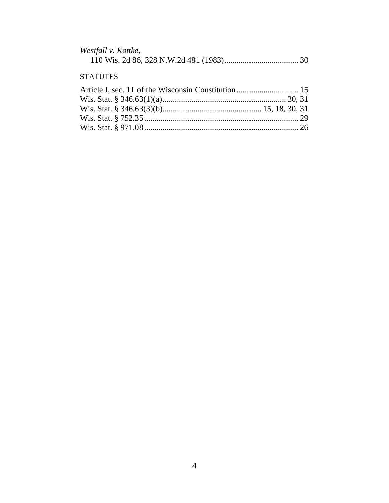| Westfall v. Kottke, |  |  |
|---------------------|--|--|
|                     |  |  |

### **STATUTES**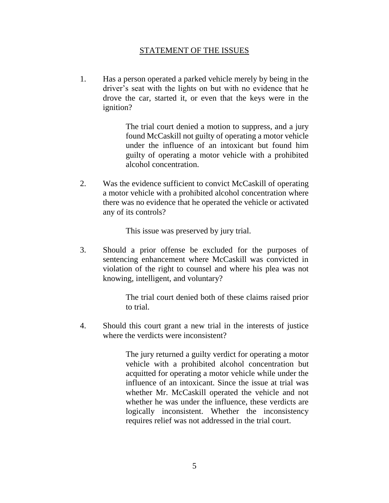#### STATEMENT OF THE ISSUES

1. Has a person operated a parked vehicle merely by being in the driver's seat with the lights on but with no evidence that he drove the car, started it, or even that the keys were in the ignition?

> The trial court denied a motion to suppress, and a jury found McCaskill not guilty of operating a motor vehicle under the influence of an intoxicant but found him guilty of operating a motor vehicle with a prohibited alcohol concentration.

2. Was the evidence sufficient to convict McCaskill of operating a motor vehicle with a prohibited alcohol concentration where there was no evidence that he operated the vehicle or activated any of its controls?

This issue was preserved by jury trial.

3. Should a prior offense be excluded for the purposes of sentencing enhancement where McCaskill was convicted in violation of the right to counsel and where his plea was not knowing, intelligent, and voluntary?

> The trial court denied both of these claims raised prior to trial.

4. Should this court grant a new trial in the interests of justice where the verdicts were inconsistent?

> The jury returned a guilty verdict for operating a motor vehicle with a prohibited alcohol concentration but acquitted for operating a motor vehicle while under the influence of an intoxicant. Since the issue at trial was whether Mr. McCaskill operated the vehicle and not whether he was under the influence, these verdicts are logically inconsistent. Whether the inconsistency requires relief was not addressed in the trial court.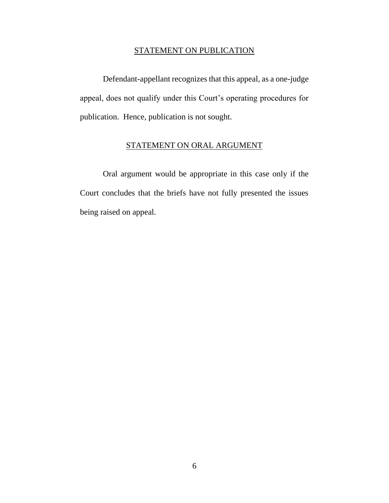#### STATEMENT ON PUBLICATION

Defendant-appellant recognizes that this appeal, as a one-judge appeal, does not qualify under this Court's operating procedures for publication. Hence, publication is not sought.

#### STATEMENT ON ORAL ARGUMENT

Oral argument would be appropriate in this case only if the Court concludes that the briefs have not fully presented the issues being raised on appeal.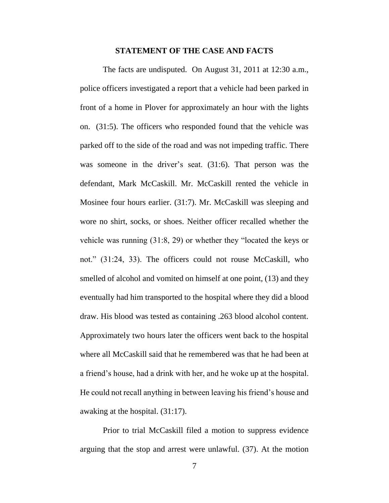#### **STATEMENT OF THE CASE AND FACTS**

The facts are undisputed. On August 31, 2011 at 12:30 a.m., police officers investigated a report that a vehicle had been parked in front of a home in Plover for approximately an hour with the lights on. (31:5). The officers who responded found that the vehicle was parked off to the side of the road and was not impeding traffic. There was someone in the driver's seat. (31:6). That person was the defendant, Mark McCaskill. Mr. McCaskill rented the vehicle in Mosinee four hours earlier. (31:7). Mr. McCaskill was sleeping and wore no shirt, socks, or shoes. Neither officer recalled whether the vehicle was running (31:8, 29) or whether they "located the keys or not." (31:24, 33). The officers could not rouse McCaskill, who smelled of alcohol and vomited on himself at one point, (13) and they eventually had him transported to the hospital where they did a blood draw. His blood was tested as containing .263 blood alcohol content. Approximately two hours later the officers went back to the hospital where all McCaskill said that he remembered was that he had been at a friend's house, had a drink with her, and he woke up at the hospital. He could not recall anything in between leaving his friend's house and awaking at the hospital. (31:17).

Prior to trial McCaskill filed a motion to suppress evidence arguing that the stop and arrest were unlawful. (37). At the motion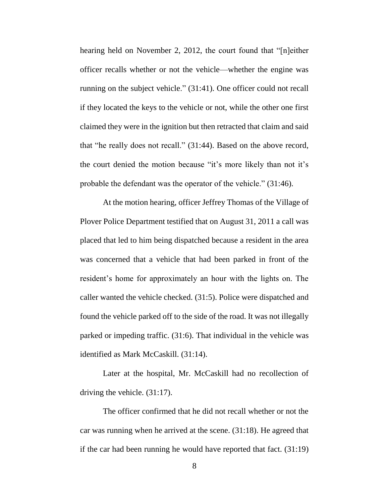hearing held on November 2, 2012, the court found that "[n]either officer recalls whether or not the vehicle—whether the engine was running on the subject vehicle." (31:41). One officer could not recall if they located the keys to the vehicle or not, while the other one first claimed they were in the ignition but then retracted that claim and said that "he really does not recall." (31:44). Based on the above record, the court denied the motion because "it's more likely than not it's probable the defendant was the operator of the vehicle." (31:46).

At the motion hearing, officer Jeffrey Thomas of the Village of Plover Police Department testified that on August 31, 2011 a call was placed that led to him being dispatched because a resident in the area was concerned that a vehicle that had been parked in front of the resident's home for approximately an hour with the lights on. The caller wanted the vehicle checked. (31:5). Police were dispatched and found the vehicle parked off to the side of the road. It was not illegally parked or impeding traffic. (31:6). That individual in the vehicle was identified as Mark McCaskill. (31:14).

Later at the hospital, Mr. McCaskill had no recollection of driving the vehicle. (31:17).

The officer confirmed that he did not recall whether or not the car was running when he arrived at the scene. (31:18). He agreed that if the car had been running he would have reported that fact. (31:19)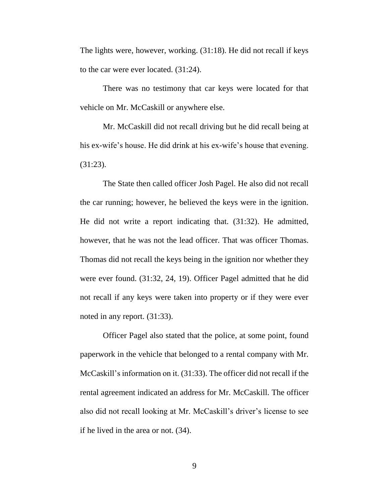The lights were, however, working. (31:18). He did not recall if keys to the car were ever located. (31:24).

There was no testimony that car keys were located for that vehicle on Mr. McCaskill or anywhere else.

Mr. McCaskill did not recall driving but he did recall being at his ex-wife's house. He did drink at his ex-wife's house that evening. (31:23).

The State then called officer Josh Pagel. He also did not recall the car running; however, he believed the keys were in the ignition. He did not write a report indicating that. (31:32). He admitted, however, that he was not the lead officer. That was officer Thomas. Thomas did not recall the keys being in the ignition nor whether they were ever found. (31:32, 24, 19). Officer Pagel admitted that he did not recall if any keys were taken into property or if they were ever noted in any report. (31:33).

Officer Pagel also stated that the police, at some point, found paperwork in the vehicle that belonged to a rental company with Mr. McCaskill's information on it. (31:33). The officer did not recall if the rental agreement indicated an address for Mr. McCaskill. The officer also did not recall looking at Mr. McCaskill's driver's license to see if he lived in the area or not. (34).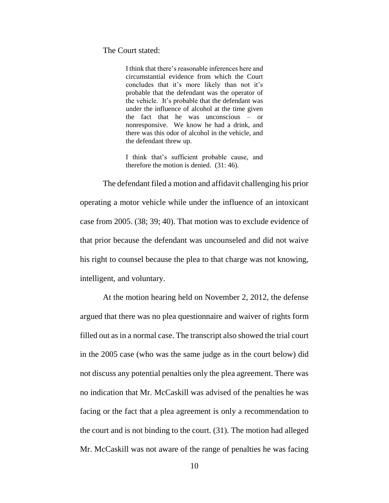#### The Court stated:

I think that there's reasonable inferences here and circumstantial evidence from which the Court concludes that it's more likely than not it's probable that the defendant was the operator of the vehicle. It's probable that the defendant was under the influence of alcohol at the time given the fact that he was unconscious – or nonresponsive. We know he had a drink, and there was this odor of alcohol in the vehicle, and the defendant threw up.

I think that's sufficient probable cause, and therefore the motion is denied. (31: 46).

The defendant filed a motion and affidavit challenging his prior operating a motor vehicle while under the influence of an intoxicant case from 2005. (38; 39; 40). That motion was to exclude evidence of that prior because the defendant was uncounseled and did not waive his right to counsel because the plea to that charge was not knowing, intelligent, and voluntary.

At the motion hearing held on November 2, 2012, the defense argued that there was no plea questionnaire and waiver of rights form filled out as in a normal case. The transcript also showed the trial court in the 2005 case (who was the same judge as in the court below) did not discuss any potential penalties only the plea agreement. There was no indication that Mr. McCaskill was advised of the penalties he was facing or the fact that a plea agreement is only a recommendation to the court and is not binding to the court. (31). The motion had alleged Mr. McCaskill was not aware of the range of penalties he was facing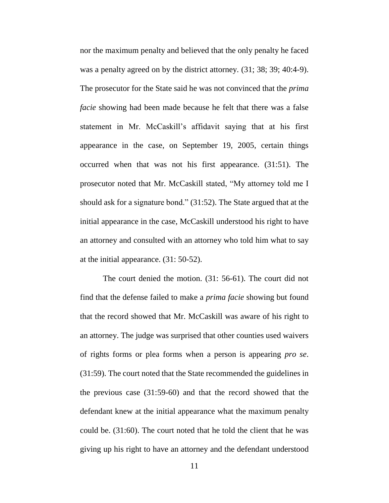nor the maximum penalty and believed that the only penalty he faced was a penalty agreed on by the district attorney. (31; 38; 39; 40:4-9). The prosecutor for the State said he was not convinced that the *prima facie* showing had been made because he felt that there was a false statement in Mr. McCaskill's affidavit saying that at his first appearance in the case, on September 19, 2005, certain things occurred when that was not his first appearance. (31:51). The prosecutor noted that Mr. McCaskill stated, "My attorney told me I should ask for a signature bond." (31:52). The State argued that at the initial appearance in the case, McCaskill understood his right to have an attorney and consulted with an attorney who told him what to say at the initial appearance. (31: 50-52).

The court denied the motion. (31: 56-61). The court did not find that the defense failed to make a *prima facie* showing but found that the record showed that Mr. McCaskill was aware of his right to an attorney. The judge was surprised that other counties used waivers of rights forms or plea forms when a person is appearing *pro se*. (31:59). The court noted that the State recommended the guidelines in the previous case (31:59-60) and that the record showed that the defendant knew at the initial appearance what the maximum penalty could be. (31:60). The court noted that he told the client that he was giving up his right to have an attorney and the defendant understood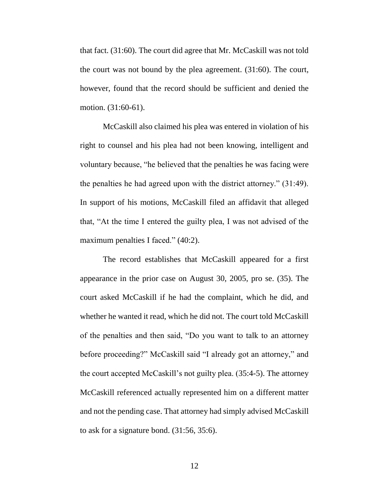that fact. (31:60). The court did agree that Mr. McCaskill was not told the court was not bound by the plea agreement. (31:60). The court, however, found that the record should be sufficient and denied the motion. (31:60-61).

McCaskill also claimed his plea was entered in violation of his right to counsel and his plea had not been knowing, intelligent and voluntary because, "he believed that the penalties he was facing were the penalties he had agreed upon with the district attorney." (31:49). In support of his motions, McCaskill filed an affidavit that alleged that, "At the time I entered the guilty plea, I was not advised of the maximum penalties I faced." (40:2).

The record establishes that McCaskill appeared for a first appearance in the prior case on August 30, 2005, pro se. (35). The court asked McCaskill if he had the complaint, which he did, and whether he wanted it read, which he did not. The court told McCaskill of the penalties and then said, "Do you want to talk to an attorney before proceeding?" McCaskill said "I already got an attorney," and the court accepted McCaskill's not guilty plea. (35:4-5). The attorney McCaskill referenced actually represented him on a different matter and not the pending case. That attorney had simply advised McCaskill to ask for a signature bond. (31:56, 35:6).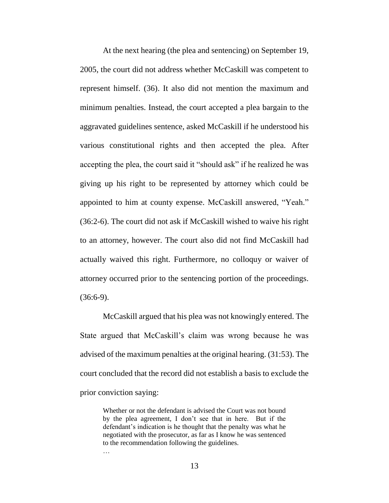At the next hearing (the plea and sentencing) on September 19, 2005, the court did not address whether McCaskill was competent to represent himself. (36). It also did not mention the maximum and minimum penalties. Instead, the court accepted a plea bargain to the aggravated guidelines sentence, asked McCaskill if he understood his various constitutional rights and then accepted the plea. After accepting the plea, the court said it "should ask" if he realized he was giving up his right to be represented by attorney which could be appointed to him at county expense. McCaskill answered, "Yeah." (36:2-6). The court did not ask if McCaskill wished to waive his right to an attorney, however. The court also did not find McCaskill had actually waived this right. Furthermore, no colloquy or waiver of attorney occurred prior to the sentencing portion of the proceedings.  $(36:6-9)$ .

McCaskill argued that his plea was not knowingly entered. The State argued that McCaskill's claim was wrong because he was advised of the maximum penalties at the original hearing. (31:53). The court concluded that the record did not establish a basis to exclude the prior conviction saying:

Whether or not the defendant is advised the Court was not bound by the plea agreement, I don't see that in here. But if the defendant's indication is he thought that the penalty was what he negotiated with the prosecutor, as far as I know he was sentenced to the recommendation following the guidelines. …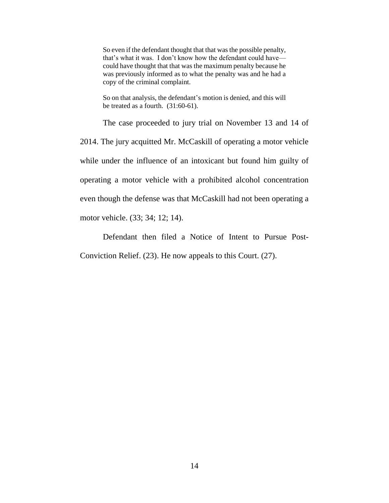So even if the defendant thought that that was the possible penalty, that's what it was. I don't know how the defendant could have could have thought that that was the maximum penalty because he was previously informed as to what the penalty was and he had a copy of the criminal complaint.

So on that analysis, the defendant's motion is denied, and this will be treated as a fourth. (31:60-61).

The case proceeded to jury trial on November 13 and 14 of 2014. The jury acquitted Mr. McCaskill of operating a motor vehicle while under the influence of an intoxicant but found him guilty of operating a motor vehicle with a prohibited alcohol concentration even though the defense was that McCaskill had not been operating a motor vehicle. (33; 34; 12; 14).

Defendant then filed a Notice of Intent to Pursue Post-Conviction Relief. (23). He now appeals to this Court. (27).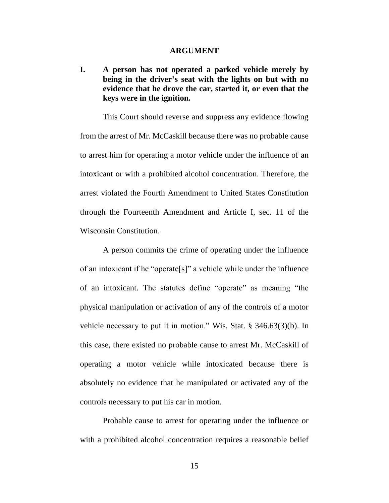#### **ARGUMENT**

**I. A person has not operated a parked vehicle merely by being in the driver's seat with the lights on but with no evidence that he drove the car, started it, or even that the keys were in the ignition.**

This Court should reverse and suppress any evidence flowing from the arrest of Mr. McCaskill because there was no probable cause to arrest him for operating a motor vehicle under the influence of an intoxicant or with a prohibited alcohol concentration. Therefore, the arrest violated the Fourth Amendment to United States Constitution through the Fourteenth Amendment and Article I, sec. 11 of the Wisconsin Constitution.

A person commits the crime of operating under the influence of an intoxicant if he "operate[s]" a vehicle while under the influence of an intoxicant. The statutes define "operate" as meaning "the physical manipulation or activation of any of the controls of a motor vehicle necessary to put it in motion." Wis. Stat. § 346.63(3)(b). In this case, there existed no probable cause to arrest Mr. McCaskill of operating a motor vehicle while intoxicated because there is absolutely no evidence that he manipulated or activated any of the controls necessary to put his car in motion.

Probable cause to arrest for operating under the influence or with a prohibited alcohol concentration requires a reasonable belief

15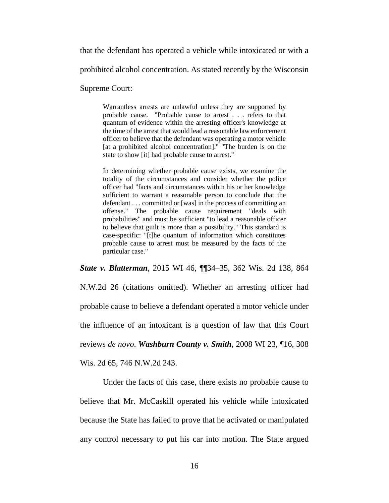that the defendant has operated a vehicle while intoxicated or with a

prohibited alcohol concentration. As stated recently by the Wisconsin

Supreme Court:

Warrantless arrests are unlawful unless they are supported by probable cause. "Probable cause to arrest . . . refers to that quantum of evidence within the arresting officer's knowledge at the time of the arrest that would lead a reasonable law enforcement officer to believe that the defendant was operating a motor vehicle [at a prohibited alcohol concentration]." "The burden is on the state to show [it] had probable cause to arrest."

In determining whether probable cause exists, we examine the totality of the circumstances and consider whether the police officer had "facts and circumstances within his or her knowledge sufficient to warrant a reasonable person to conclude that the defendant . . . committed or [was] in the process of committing an offense." The probable cause requirement "deals with probabilities" and must be sufficient "to lead a reasonable officer to believe that guilt is more than a possibility." This standard is case-specific: "[t]he quantum of information which constitutes probable cause to arrest must be measured by the facts of the particular case."

*State v. Blatterman*, 2015 WI 46, ¶¶34–35, 362 Wis. 2d 138, 864 N.W.2d 26 (citations omitted). Whether an arresting officer had probable cause to believe a defendant operated a motor vehicle under the influence of an intoxicant is a question of law that this Court reviews *de novo*. *Washburn County v. Smith*, 2008 WI 23, ¶16, 308

Wis. 2d 65, 746 N.W.2d 243.

Under the facts of this case, there exists no probable cause to believe that Mr. McCaskill operated his vehicle while intoxicated because the State has failed to prove that he activated or manipulated any control necessary to put his car into motion. The State argued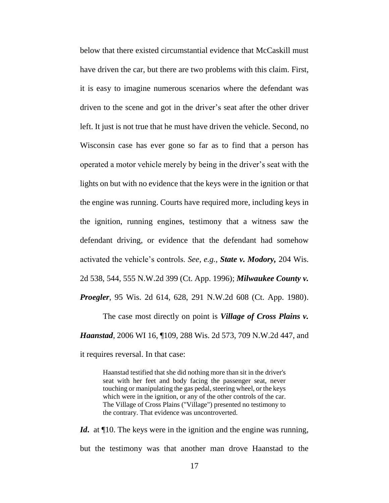below that there existed circumstantial evidence that McCaskill must have driven the car, but there are two problems with this claim. First, it is easy to imagine numerous scenarios where the defendant was driven to the scene and got in the driver's seat after the other driver left. It just is not true that he must have driven the vehicle. Second, no Wisconsin case has ever gone so far as to find that a person has operated a motor vehicle merely by being in the driver's seat with the lights on but with no evidence that the keys were in the ignition or that the engine was running. Courts have required more, including keys in the ignition, running engines, testimony that a witness saw the defendant driving, or evidence that the defendant had somehow activated the vehicle's controls. *See, e.g., State v. Modory,* 204 Wis. 2d 538, 544, 555 N.W.2d 399 (Ct. App. 1996); *Milwaukee County v. Proegler*, 95 Wis. 2d 614, 628, 291 N.W.2d 608 (Ct. App. 1980).

The case most directly on point is *Village of Cross Plains v. Haanstad*, 2006 WI 16, ¶109, 288 Wis. 2d 573, 709 N.W.2d 447, and it requires reversal. In that case:

> Haanstad testified that she did nothing more than sit in the driver's seat with her feet and body facing the passenger seat, never touching or manipulating the gas pedal, steering wheel, or the keys which were in the ignition, or any of the other controls of the car. The Village of Cross Plains ("Village") presented no testimony to the contrary. That evidence was uncontroverted.

*Id***.** at ¶10. The keys were in the ignition and the engine was running, but the testimony was that another man drove Haanstad to the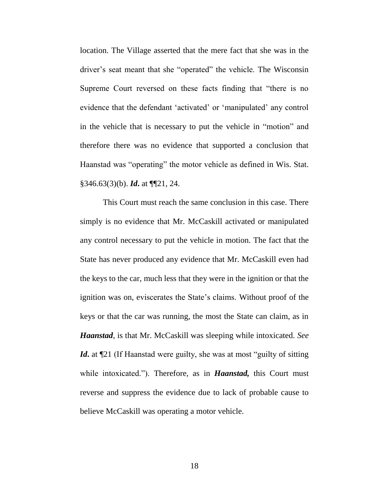location. The Village asserted that the mere fact that she was in the driver's seat meant that she "operated" the vehicle. The Wisconsin Supreme Court reversed on these facts finding that "there is no evidence that the defendant 'activated' or 'manipulated' any control in the vehicle that is necessary to put the vehicle in "motion" and therefore there was no evidence that supported a conclusion that Haanstad was "operating" the motor vehicle as defined in Wis. Stat. §346.63(3)(b). *Id***.** at ¶¶21, 24.

This Court must reach the same conclusion in this case. There simply is no evidence that Mr. McCaskill activated or manipulated any control necessary to put the vehicle in motion. The fact that the State has never produced any evidence that Mr. McCaskill even had the keys to the car, much less that they were in the ignition or that the ignition was on, eviscerates the State's claims. Without proof of the keys or that the car was running, the most the State can claim, as in *Haanstad*, is that Mr. McCaskill was sleeping while intoxicated. *See Id***.** at  $\mathbb{I}21$  (If Haanstad were guilty, she was at most "guilty of sitting while intoxicated."). Therefore, as in *Haanstad,* this Court must reverse and suppress the evidence due to lack of probable cause to believe McCaskill was operating a motor vehicle.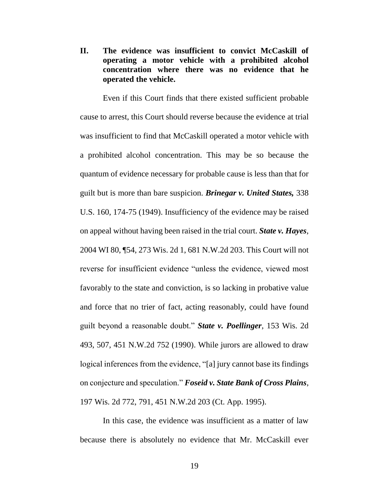**II. The evidence was insufficient to convict McCaskill of operating a motor vehicle with a prohibited alcohol concentration where there was no evidence that he operated the vehicle.**

Even if this Court finds that there existed sufficient probable cause to arrest, this Court should reverse because the evidence at trial was insufficient to find that McCaskill operated a motor vehicle with a prohibited alcohol concentration. This may be so because the quantum of evidence necessary for probable cause is less than that for guilt but is more than bare suspicion. *Brinegar v. United States,* 338 U.S. 160, 174-75 (1949). Insufficiency of the evidence may be raised on appeal without having been raised in the trial court. *State v. Hayes*, 2004 WI 80, ¶54, 273 Wis. 2d 1, 681 N.W.2d 203. This Court will not reverse for insufficient evidence "unless the evidence, viewed most favorably to the state and conviction, is so lacking in probative value and force that no trier of fact, acting reasonably, could have found guilt beyond a reasonable doubt." *State v. Poellinger*, 153 Wis. 2d 493, 507, 451 N.W.2d 752 (1990). While jurors are allowed to draw logical inferences from the evidence, "[a] jury cannot base its findings on conjecture and speculation." *[Foseid v. State Bank of Cross Plains](https://www.westlaw.com/Link/RelatedInformation/Flag?documentGuid=Idc736f68038411dab386b232635db992&transitionType=Default&contextData=(sc.Default)&VR=3.0&RS=da3.0)*, [197 Wis. 2d 772, 791, 451 N.W.2d 203 \(Ct. App. 1995\).](https://www.westlaw.com/Link/RelatedInformation/Flag?documentGuid=Idc736f68038411dab386b232635db992&transitionType=Default&contextData=(sc.Default)&VR=3.0&RS=da3.0) 

In this case, the evidence was insufficient as a matter of law because there is absolutely no evidence that Mr. McCaskill ever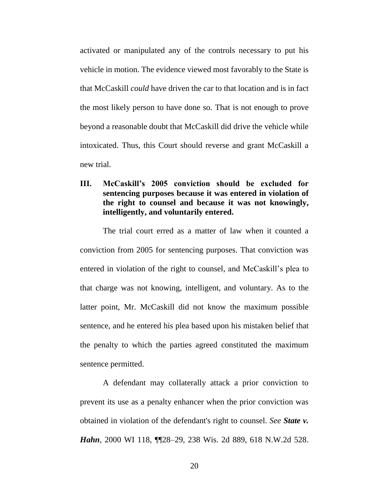activated or manipulated any of the controls necessary to put his vehicle in motion. The evidence viewed most favorably to the State is that McCaskill *could* have driven the car to that location and is in fact the most likely person to have done so. That is not enough to prove beyond a reasonable doubt that McCaskill did drive the vehicle while intoxicated. Thus, this Court should reverse and grant McCaskill a new trial.

### **III. McCaskill's 2005 conviction should be excluded for sentencing purposes because it was entered in violation of the right to counsel and because it was not knowingly, intelligently, and voluntarily entered.**

The trial court erred as a matter of law when it counted a conviction from 2005 for sentencing purposes. That conviction was entered in violation of the right to counsel, and McCaskill's plea to that charge was not knowing, intelligent, and voluntary. As to the latter point, Mr. McCaskill did not know the maximum possible sentence, and he entered his plea based upon his mistaken belief that the penalty to which the parties agreed constituted the maximum sentence permitted.

A defendant may collaterally attack a prior conviction to prevent its use as a penalty enhancer when the prior conviction was obtained in violation of the defendant's right to counsel. *See State v. Hahn*, 2000 WI 118, ¶¶28–29, 238 Wis. 2d 889, 618 N.W.2d 528.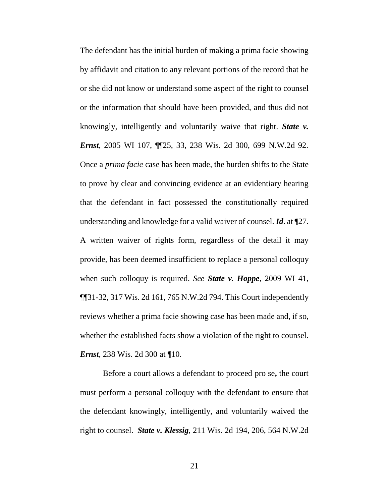The defendant has the initial burden of making a prima facie showing by affidavit and citation to any relevant portions of the record that he or she did not know or understand some aspect of the right to counsel or the information that should have been provided, and thus did not knowingly, intelligently and voluntarily waive that right. *[State v.](https://www.westlaw.com/RelatedInformation/Ib94daee8ffc011d9b386b232635db992/kcJudicialHistory.html?transitionType=Default&contextData=(sc.Default)&VR=3.0&RS=da3.0)  Ernst*, [2005 WI 107, ¶¶25, 33, 238 Wis. 2d 300, 699 N.W.2d 92.](https://www.westlaw.com/RelatedInformation/Ib94daee8ffc011d9b386b232635db992/kcJudicialHistory.html?transitionType=Default&contextData=(sc.Default)&VR=3.0&RS=da3.0)  Once a *prima facie* case has been made, the burden shifts to the State to prove by clear and convincing evidence at an evidentiary hearing that the defendant in fact possessed the constitutionally required understanding and knowledge for a valid waiver of counsel. *Id*. at ¶27. A written waiver of rights form, regardless of the detail it may provide, has been deemed insufficient to replace a personal colloquy when such colloquy is required. *See State v. Hoppe*, 2009 WI 41, ¶¶31-32, 317 Wis. 2d 161, 765 N.W.2d 794. This Court independently reviews whether a prima facie showing case has been made and, if so, whether the established facts show a violation of the right to counsel. *Ernst*, 238 Wis. 2d 300 at ¶10.

Before a court allows a defendant to proceed pro se**,** the court must perform a personal colloquy with the defendant to ensure that the defendant knowingly, intelligently, and voluntarily waived the right to counsel. *State v. Klessig*, 211 Wis. 2d 194, 206, 564 N.W.2d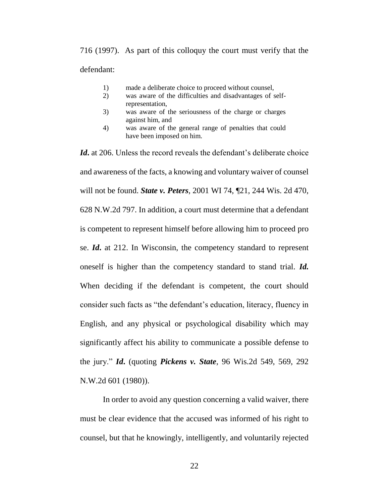716 (1997). As part of this colloquy the court must verify that the defendant:

- 1) made a deliberate choice to proceed without counsel,
- 2) was aware of the difficulties and disadvantages of selfrepresentation,
- 3) was aware of the seriousness of the charge or charges against him, and
- 4) was aware of the general range of penalties that could have been imposed on him.

Id. at 206. Unless the record reveals the defendant's deliberate choice and awareness of the facts, a knowing and voluntary waiver of counsel will not be found. *State v. Peters*, 2001 WI 74, ¶21, 244 Wis. 2d 470, 628 N.W.2d 797. In addition, a court must determine that a defendant is competent to represent himself before allowing him to proceed pro se. *Id***.** at 212. In Wisconsin, the competency standard to represent oneself is higher than the competency standard to stand trial. *Id.* When deciding if the defendant is competent, the court should consider such facts as "the defendant's education, literacy, fluency in English, and any physical or psychological disability which may significantly affect his ability to communicate a possible defense to the jury." *Id***.** (quoting *Pickens v. State*, 96 Wis.2d 549, 569, 292 N.W.2d 601 (1980)).

In order to avoid any question concerning a valid waiver, there must be clear evidence that the accused was informed of his right to counsel, but that he knowingly, intelligently, and voluntarily rejected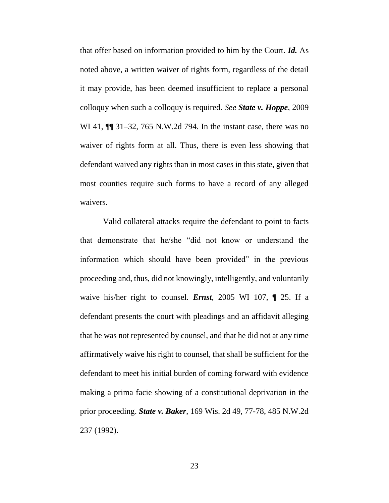that offer based on information provided to him by the Court. *Id.* As noted above, a written waiver of rights form, regardless of the detail it may provide, has been deemed insufficient to replace a personal colloquy when such a colloquy is required. *See State v. Hoppe*, 2009 WI 41, **[1]** 31–32, 765 N.W.2d 794. In the instant case, there was no waiver of rights form at all. Thus, there is even less showing that defendant waived any rights than in most cases in this state, given that most counties require such forms to have a record of any alleged waivers.

Valid collateral attacks require the defendant to point to facts that demonstrate that he/she "did not know or understand the information which should have been provided" in the previous proceeding and, thus, did not knowingly, intelligently, and voluntarily waive his/her right to counsel. *Ernst*, 2005 WI 107, ¶ 25. If a defendant presents the court with pleadings and an affidavit alleging that he was not represented by counsel, and that he did not at any time affirmatively waive his right to counsel, that shall be sufficient for the defendant to meet his initial burden of coming forward with evidence making a prima facie showing of a constitutional deprivation in the prior proceeding. *State v. Baker*, 169 Wis. 2d 49, 77-78, 485 N.W.2d 237 (1992).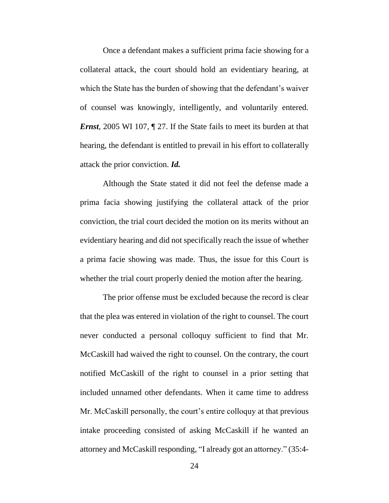Once a defendant makes a sufficient prima facie showing for a collateral attack, the court should hold an evidentiary hearing, at which the State has the burden of showing that the defendant's waiver of counsel was knowingly, intelligently, and voluntarily entered. *Ernst*, 2005 WI 107,  $\sqrt{ }$  27. If the State fails to meet its burden at that hearing, the defendant is entitled to prevail in his effort to collaterally attack the prior conviction. *Id.*

Although the State stated it did not feel the defense made a prima facia showing justifying the collateral attack of the prior conviction, the trial court decided the motion on its merits without an evidentiary hearing and did not specifically reach the issue of whether a prima facie showing was made. Thus, the issue for this Court is whether the trial court properly denied the motion after the hearing.

The prior offense must be excluded because the record is clear that the plea was entered in violation of the right to counsel. The court never conducted a personal colloquy sufficient to find that Mr. McCaskill had waived the right to counsel. On the contrary, the court notified McCaskill of the right to counsel in a prior setting that included unnamed other defendants. When it came time to address Mr. McCaskill personally, the court's entire colloquy at that previous intake proceeding consisted of asking McCaskill if he wanted an attorney and McCaskill responding, "I already got an attorney." (35:4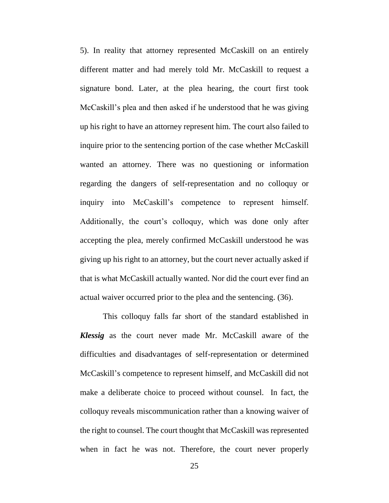5). In reality that attorney represented McCaskill on an entirely different matter and had merely told Mr. McCaskill to request a signature bond. Later, at the plea hearing, the court first took McCaskill's plea and then asked if he understood that he was giving up his right to have an attorney represent him. The court also failed to inquire prior to the sentencing portion of the case whether McCaskill wanted an attorney. There was no questioning or information regarding the dangers of self-representation and no colloquy or inquiry into McCaskill's competence to represent himself. Additionally, the court's colloquy, which was done only after accepting the plea, merely confirmed McCaskill understood he was giving up his right to an attorney, but the court never actually asked if that is what McCaskill actually wanted. Nor did the court ever find an actual waiver occurred prior to the plea and the sentencing. (36).

This colloquy falls far short of the standard established in *Klessig* as the court never made Mr. McCaskill aware of the difficulties and disadvantages of self-representation or determined McCaskill's competence to represent himself, and McCaskill did not make a deliberate choice to proceed without counsel. In fact, the colloquy reveals miscommunication rather than a knowing waiver of the right to counsel. The court thought that McCaskill was represented when in fact he was not. Therefore, the court never properly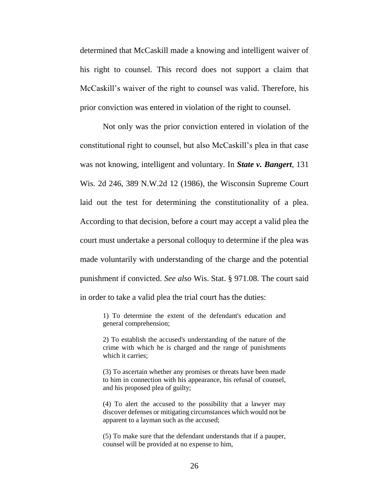determined that McCaskill made a knowing and intelligent waiver of his right to counsel. This record does not support a claim that McCaskill's waiver of the right to counsel was valid. Therefore, his prior conviction was entered in violation of the right to counsel.

Not only was the prior conviction entered in violation of the constitutional right to counsel, but also McCaskill's plea in that case was not knowing, intelligent and voluntary. In *State v. Bangert*, 131 Wis. 2d 246, 389 N.W.2d 12 (1986), the Wisconsin Supreme Court laid out the test for determining the constitutionality of a plea. According to that decision, before a court may accept a valid plea the court must undertake a personal colloquy to determine if the plea was made voluntarily with understanding of the charge and the potential punishment if convicted. *See also* Wis. Stat. § 971.08. The court said in order to take a valid plea the trial court has the duties:

1) To determine the extent of the defendant's education and general comprehension;

2) To establish the accused's understanding of the nature of the crime with which he is charged and the range of punishments which it carries:

(3) To ascertain whether any promises or threats have been made to him in connection with his appearance, his refusal of counsel, and his proposed plea of guilty;

(4) To alert the accused to the possibility that a lawyer may discover defenses or mitigating circumstances which would not be apparent to a layman such as the accused;

(5) To make sure that the defendant understands that if a pauper, counsel will be provided at no expense to him,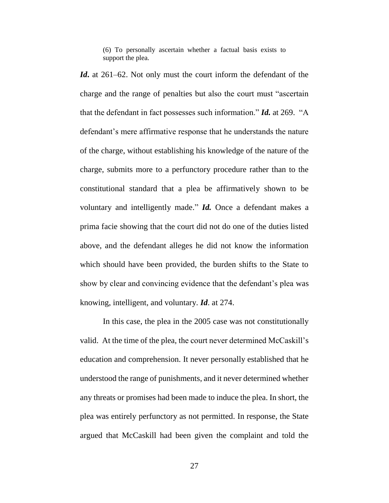(6) To personally ascertain whether a factual basis exists to support the plea.

*Id***.** at 261–62. Not only must the court inform the defendant of the charge and the range of penalties but also the court must "ascertain that the defendant in fact possesses such information." *Id.* at 269. "A defendant's mere affirmative response that he understands the nature of the charge, without establishing his knowledge of the nature of the charge, submits more to a perfunctory procedure rather than to the constitutional standard that a plea be affirmatively shown to be voluntary and intelligently made." *Id.* Once a defendant makes a prima facie showing that the court did not do one of the duties listed above, and the defendant alleges he did not know the information which should have been provided, the burden shifts to the State to show by clear and convincing evidence that the defendant's plea was knowing, intelligent, and voluntary. *Id*. at 274.

In this case, the plea in the 2005 case was not constitutionally valid. At the time of the plea, the court never determined McCaskill's education and comprehension. It never personally established that he understood the range of punishments, and it never determined whether any threats or promises had been made to induce the plea. In short, the plea was entirely perfunctory as not permitted. In response, the State argued that McCaskill had been given the complaint and told the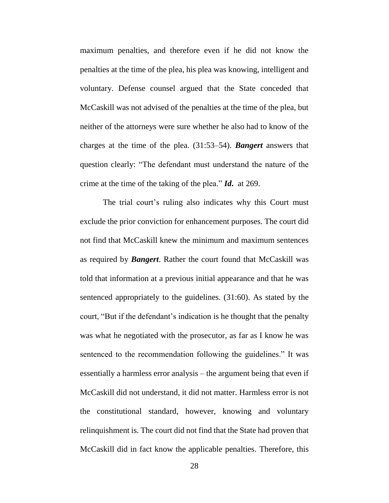maximum penalties, and therefore even if he did not know the penalties at the time of the plea, his plea was knowing, intelligent and voluntary. Defense counsel argued that the State conceded that McCaskill was not advised of the penalties at the time of the plea, but neither of the attorneys were sure whether he also had to know of the charges at the time of the plea. (31:53–54). *Bangert* answers that question clearly: "The defendant must understand the nature of the crime at the time of the taking of the plea." *Id***.** at 269.

The trial court's ruling also indicates why this Court must exclude the prior conviction for enhancement purposes. The court did not find that McCaskill knew the minimum and maximum sentences as required by *Bangert*. Rather the court found that McCaskill was told that information at a previous initial appearance and that he was sentenced appropriately to the guidelines. (31:60). As stated by the court, "But if the defendant's indication is he thought that the penalty was what he negotiated with the prosecutor, as far as I know he was sentenced to the recommendation following the guidelines." It was essentially a harmless error analysis – the argument being that even if McCaskill did not understand, it did not matter. Harmless error is not the constitutional standard, however, knowing and voluntary relinquishment is. The court did not find that the State had proven that McCaskill did in fact know the applicable penalties. Therefore, this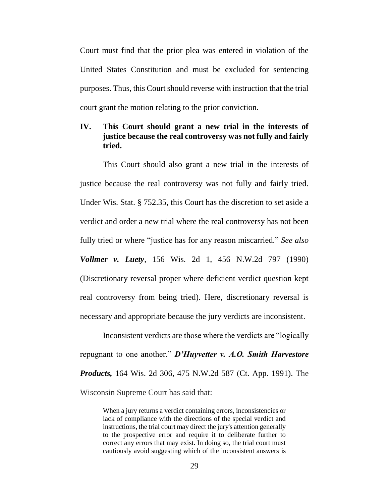Court must find that the prior plea was entered in violation of the United States Constitution and must be excluded for sentencing purposes. Thus, this Court should reverse with instruction that the trial court grant the motion relating to the prior conviction.

### **IV. This Court should grant a new trial in the interests of justice because the real controversy was not fully and fairly tried.**

This Court should also grant a new trial in the interests of justice because the real controversy was not fully and fairly tried. Under Wis. Stat. § 752.35, this Court has the discretion to set aside a verdict and order a new trial where the real controversy has not been fully tried or where "justice has for any reason miscarried." *See also Vollmer v. Luety*, 156 Wis. 2d 1, 456 N.W.2d 797 (1990) (Discretionary reversal proper where deficient verdict question kept real controversy from being tried). Here, discretionary reversal is necessary and appropriate because the jury verdicts are inconsistent.

Inconsistent verdicts are those where the verdicts are "logically repugnant to one another." *D'Huyvetter v. A.O. Smith Harvestore Products,* 164 Wis. 2d 306, 475 N.W.2d 587 (Ct. App. 1991). The Wisconsin Supreme Court has said that:

> When a jury returns a verdict containing errors, inconsistencies or lack of compliance with the directions of the special verdict and instructions, the trial court may direct the jury's attention generally to the prospective error and require it to deliberate further to correct any errors that may exist. In doing so, the trial court must cautiously avoid suggesting which of the inconsistent answers is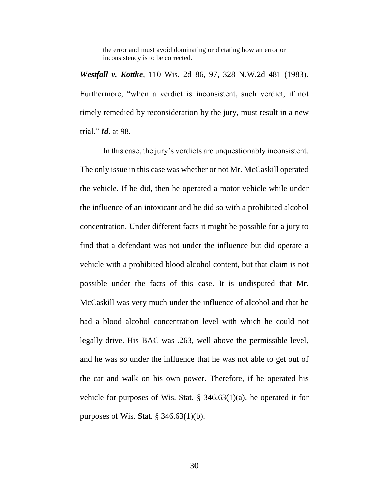the error and must avoid dominating or dictating how an error or inconsistency is to be corrected.

*Westfall v. Kottke*, 110 Wis. 2d 86, 97, 328 N.W.2d 481 (1983). Furthermore, "when a verdict is inconsistent, such verdict, if not timely remedied by reconsideration by the jury, must result in a new trial." *Id***.** at 98.

In this case, the jury's verdicts are unquestionably inconsistent. The only issue in this case was whether or not Mr. McCaskill operated the vehicle. If he did, then he operated a motor vehicle while under the influence of an intoxicant and he did so with a prohibited alcohol concentration. Under different facts it might be possible for a jury to find that a defendant was not under the influence but did operate a vehicle with a prohibited blood alcohol content, but that claim is not possible under the facts of this case. It is undisputed that Mr. McCaskill was very much under the influence of alcohol and that he had a blood alcohol concentration level with which he could not legally drive. His BAC was .263, well above the permissible level, and he was so under the influence that he was not able to get out of the car and walk on his own power. Therefore, if he operated his vehicle for purposes of Wis. Stat.  $\S$  346.63(1)(a), he operated it for purposes of Wis. Stat.  $\S$  346.63(1)(b).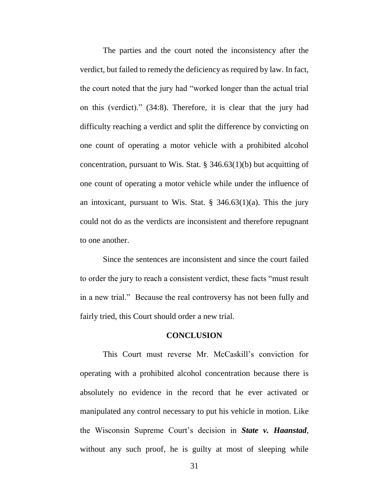The parties and the court noted the inconsistency after the verdict, but failed to remedy the deficiency as required by law. In fact, the court noted that the jury had "worked longer than the actual trial on this (verdict)." (34:8). Therefore, it is clear that the jury had difficulty reaching a verdict and split the difference by convicting on one count of operating a motor vehicle with a prohibited alcohol concentration, pursuant to Wis. Stat. § 346.63(1)(b) but acquitting of one count of operating a motor vehicle while under the influence of an intoxicant, pursuant to Wis. Stat.  $\S$  346.63(1)(a). This the jury could not do as the verdicts are inconsistent and therefore repugnant to one another.

Since the sentences are inconsistent and since the court failed to order the jury to reach a consistent verdict, these facts "must result in a new trial." Because the real controversy has not been fully and fairly tried, this Court should order a new trial.

#### **CONCLUSION**

This Court must reverse Mr. McCaskill's conviction for operating with a prohibited alcohol concentration because there is absolutely no evidence in the record that he ever activated or manipulated any control necessary to put his vehicle in motion. Like the Wisconsin Supreme Court's decision in *State v. Haanstad*, without any such proof, he is guilty at most of sleeping while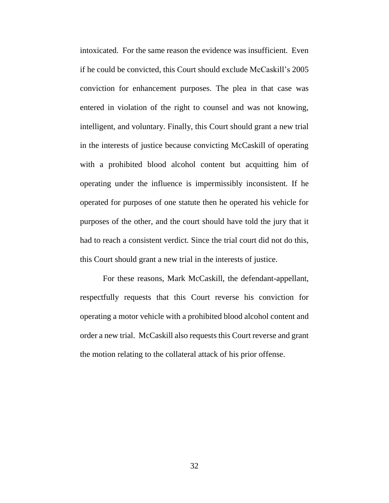intoxicated. For the same reason the evidence was insufficient. Even if he could be convicted, this Court should exclude McCaskill's 2005 conviction for enhancement purposes. The plea in that case was entered in violation of the right to counsel and was not knowing, intelligent, and voluntary. Finally, this Court should grant a new trial in the interests of justice because convicting McCaskill of operating with a prohibited blood alcohol content but acquitting him of operating under the influence is impermissibly inconsistent. If he operated for purposes of one statute then he operated his vehicle for purposes of the other, and the court should have told the jury that it had to reach a consistent verdict. Since the trial court did not do this, this Court should grant a new trial in the interests of justice.

For these reasons, Mark McCaskill, the defendant-appellant, respectfully requests that this Court reverse his conviction for operating a motor vehicle with a prohibited blood alcohol content and order a new trial. McCaskill also requests this Court reverse and grant the motion relating to the collateral attack of his prior offense.

32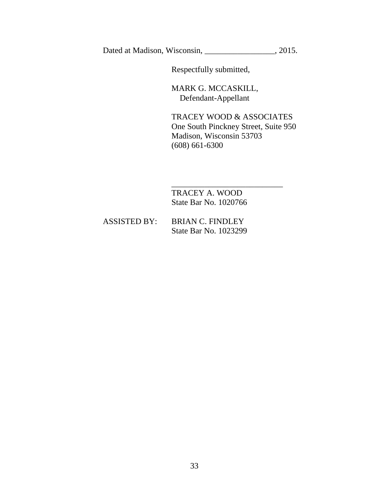Dated at Madison, Wisconsin, \_\_\_\_\_\_\_\_\_\_\_\_\_\_\_, 2015.

Respectfully submitted,

MARK G. MCCASKILL, Defendant-Appellant

TRACEY WOOD & ASSOCIATES One South Pinckney Street, Suite 950 Madison, Wisconsin 53703 (608) 661-6300

\_\_\_\_\_\_\_\_\_\_\_\_\_\_\_\_\_\_\_\_\_\_\_\_\_\_\_

 TRACEY A. WOOD State Bar No. 1020766

| <b>ASSISTED BY:</b> | <b>BRIAN C. FINDLEY</b>      |  |
|---------------------|------------------------------|--|
|                     | <b>State Bar No. 1023299</b> |  |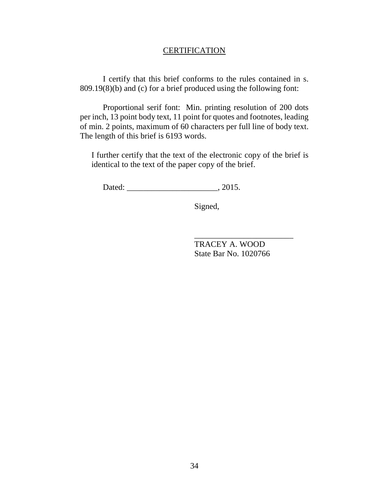#### **CERTIFICATION**

I certify that this brief conforms to the rules contained in s. 809.19(8)(b) and (c) for a brief produced using the following font:

Proportional serif font: Min. printing resolution of 200 dots per inch, 13 point body text, 11 point for quotes and footnotes, leading of min. 2 points, maximum of 60 characters per full line of body text. The length of this brief is 6193 words.

I further certify that the text of the electronic copy of the brief is identical to the text of the paper copy of the brief.

Dated: \_\_\_\_\_\_\_\_\_\_\_\_\_\_\_\_\_\_\_\_\_\_\_\_\_\_\_\_\_\_\_\_\_\_, 2015.

Signed,

TRACEY A. WOOD State Bar No. 1020766

\_\_\_\_\_\_\_\_\_\_\_\_\_\_\_\_\_\_\_\_\_\_\_\_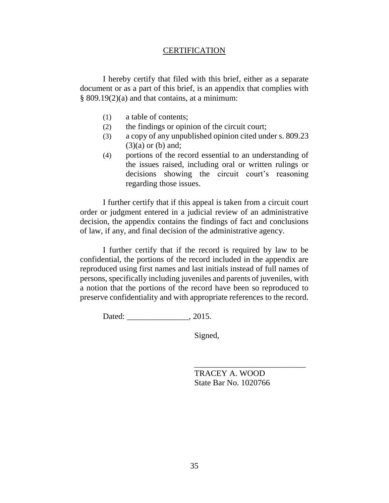#### **CERTIFICATION**

I hereby certify that filed with this brief, either as a separate document or as a part of this brief, is an appendix that complies with § 809.19(2)(a) and that contains, at a minimum:

- (1) a table of contents;
- (2) the findings or opinion of the circuit court;
- (3) a copy of any unpublished opinion cited under s. 809.23  $(3)(a)$  or  $(b)$  and;
- (4) portions of the record essential to an understanding of the issues raised, including oral or written rulings or decisions showing the circuit court's reasoning regarding those issues.

I further certify that if this appeal is taken from a circuit court order or judgment entered in a judicial review of an administrative decision, the appendix contains the findings of fact and conclusions of law, if any, and final decision of the administrative agency.

I further certify that if the record is required by law to be confidential, the portions of the record included in the appendix are reproduced using first names and last initials instead of full names of persons, specifically including juveniles and parents of juveniles, with a notion that the portions of the record have been so reproduced to preserve confidentiality and with appropriate references to the record.

Dated: \_\_\_\_\_\_\_\_\_\_\_\_\_\_\_, 2015.

Signed,

TRACEY A. WOOD State Bar No. 1020766

\_\_\_\_\_\_\_\_\_\_\_\_\_\_\_\_\_\_\_\_\_\_\_\_\_\_\_